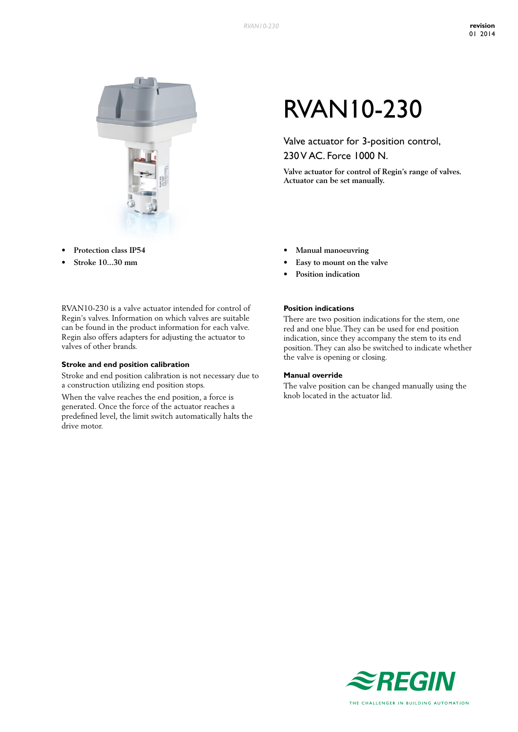

- **• Protection class IP54**
- **• Stroke 10...30 mm**

RVAN10-230 is a valve actuator intended for control of Regin's valves. Information on which valves are suitable can be found in the product information for each valve. Regin also offers adapters for adjusting the actuator to valves of other brands.

### **Stroke and end position calibration**

Stroke and end position calibration is not necessary due to a construction utilizing end position stops.

When the valve reaches the end position, a force is generated. Once the force of the actuator reaches a predefined level, the limit switch automatically halts the drive motor.

# RVAN10-230

Valve actuator for 3-position control, 230 V AC. Force 1000 N.

**Valve actuator for control of Regin's range of valves. Actuator can be set manually.**

- **• Manual manoeuvring**
- **• Easy to mount on the valve**
- **• Position indication**

## **Position indications**

There are two position indications for the stem, one red and one blue. They can be used for end position indication, since they accompany the stem to its end position. They can also be switched to indicate whether the valve is opening or closing.

#### **Manual override**

The valve position can be changed manually using the knob located in the actuator lid.